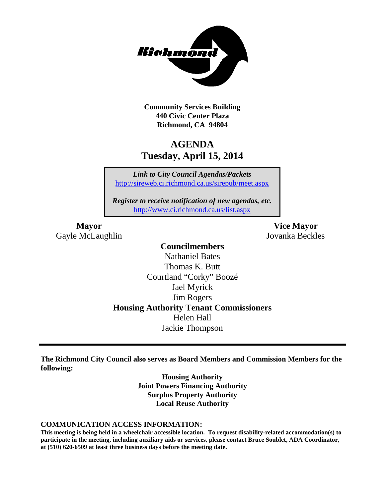

**Community Services Building 440 Civic Center Plaza Richmond, CA 94804**

# **AGENDA Tuesday, April 15, 2014**

*Link to City Council Agendas/Packets* <http://sireweb.ci.richmond.ca.us/sirepub/meet.aspx>

*Register to receive notification of new agendas, etc.* <http://www.ci.richmond.ca.us/list.aspx>

Gayle McLaughlin Jovanka Beckles

**Mayor Vice Mayor**

# **Councilmembers**

Nathaniel Bates Thomas K. Butt Courtland "Corky" Boozé Jael Myrick Jim Rogers **Housing Authority Tenant Commissioners** Helen Hall Jackie Thompson

**The Richmond City Council also serves as Board Members and Commission Members for the following:**

> **Housing Authority Joint Powers Financing Authority Surplus Property Authority Local Reuse Authority**

#### **COMMUNICATION ACCESS INFORMATION:**

**This meeting is being held in a wheelchair accessible location. To request disability-related accommodation(s) to participate in the meeting, including auxiliary aids or services, please contact Bruce Soublet, ADA Coordinator, at (510) 620-6509 at least three business days before the meeting date.**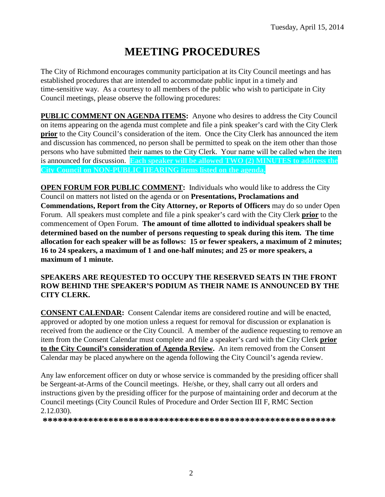# **MEETING PROCEDURES**

The City of Richmond encourages community participation at its City Council meetings and has established procedures that are intended to accommodate public input in a timely and time-sensitive way. As a courtesy to all members of the public who wish to participate in City Council meetings, please observe the following procedures:

**PUBLIC COMMENT ON AGENDA ITEMS:** Anyone who desires to address the City Council on items appearing on the agenda must complete and file a pink speaker's card with the City Clerk **prior** to the City Council's consideration of the item. Once the City Clerk has announced the item and discussion has commenced, no person shall be permitted to speak on the item other than those persons who have submitted their names to the City Clerk. Your name will be called when the item is announced for discussion. **Each speaker will be allowed TWO (2) MINUTES to address the City Council on NON-PUBLIC HEARING items listed on the agenda.**

**OPEN FORUM FOR PUBLIC COMMENT:** Individuals who would like to address the City Council on matters not listed on the agenda or on **Presentations, Proclamations and Commendations, Report from the City Attorney, or Reports of Officers** may do so under Open Forum. All speakers must complete and file a pink speaker's card with the City Clerk **prior** to the commencement of Open Forum. **The amount of time allotted to individual speakers shall be determined based on the number of persons requesting to speak during this item. The time allocation for each speaker will be as follows: 15 or fewer speakers, a maximum of 2 minutes; 16 to 24 speakers, a maximum of 1 and one-half minutes; and 25 or more speakers, a maximum of 1 minute.**

#### **SPEAKERS ARE REQUESTED TO OCCUPY THE RESERVED SEATS IN THE FRONT ROW BEHIND THE SPEAKER'S PODIUM AS THEIR NAME IS ANNOUNCED BY THE CITY CLERK.**

**CONSENT CALENDAR:** Consent Calendar items are considered routine and will be enacted, approved or adopted by one motion unless a request for removal for discussion or explanation is received from the audience or the City Council. A member of the audience requesting to remove an item from the Consent Calendar must complete and file a speaker's card with the City Clerk **prior to the City Council's consideration of Agenda Review.** An item removed from the Consent Calendar may be placed anywhere on the agenda following the City Council's agenda review.

Any law enforcement officer on duty or whose service is commanded by the presiding officer shall be Sergeant-at-Arms of the Council meetings. He/she, or they, shall carry out all orders and instructions given by the presiding officer for the purpose of maintaining order and decorum at the Council meetings (City Council Rules of Procedure and Order Section III F, RMC Section 2.12.030).

**\*\*\*\*\*\*\*\*\*\*\*\*\*\*\*\*\*\*\*\*\*\*\*\*\*\*\*\*\*\*\*\*\*\*\*\*\*\*\*\*\*\*\*\*\*\*\*\*\*\*\*\*\*\*\*\*\*\***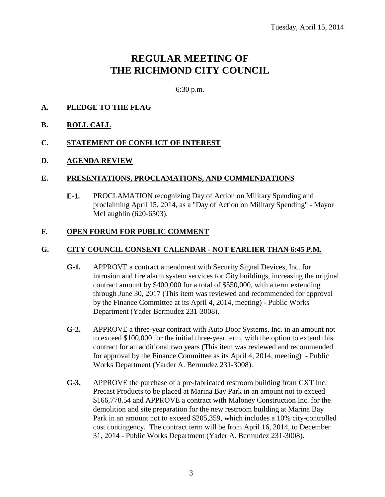# **REGULAR MEETING OF THE RICHMOND CITY COUNCIL**

6:30 p.m.

## **A. PLEDGE TO THE FLAG**

**B. ROLL CALL**

#### **C. STATEMENT OF CONFLICT OF INTEREST**

#### **D. AGENDA REVIEW**

#### **E. PRESENTATIONS, PROCLAMATIONS, AND COMMENDATIONS**

**E-1.** PROCLAMATION recognizing Day of Action on Military Spending and proclaiming April 15, 2014, as a "Day of Action on Military Spending" - Mayor McLaughlin (620-6503).

#### **F. OPEN FORUM FOR PUBLIC COMMENT**

#### **G. CITY COUNCIL CONSENT CALENDAR - NOT EARLIER THAN 6:45 P.M.**

- **G-1.** APPROVE a contract amendment with Security Signal Devices, Inc. for intrusion and fire alarm system services for City buildings, increasing the original contract amount by \$400,000 for a total of \$550,000, with a term extending through June 30, 2017 (This item was reviewed and recommended for approval by the Finance Committee at its April 4, 2014, meeting) - Public Works Department (Yader Bermudez 231-3008).
- **G-2.** APPROVE a three-year contract with Auto Door Systems, Inc. in an amount not to exceed \$100,000 for the initial three-year term, with the option to extend this contract for an additional two years (This item was reviewed and recommended for approval by the Finance Committee as its April 4, 2014, meeting) - Public Works Department (Yarder A. Bermudez 231-3008).
- **G-3.** APPROVE the purchase of a pre-fabricated restroom building from CXT Inc. Precast Products to be placed at Marina Bay Park in an amount not to exceed \$166,778.54 and APPROVE a contract with Maloney Construction Inc. for the demolition and site preparation for the new restroom building at Marina Bay Park in an amount not to exceed \$205,359, which includes a 10% city-controlled cost contingency. The contract term will be from April 16, 2014, to December 31, 2014 - Public Works Department (Yader A. Bermudez 231-3008).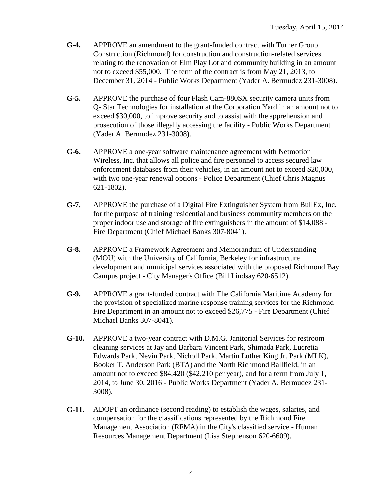- **G-4.** APPROVE an amendment to the grant-funded contract with Turner Group Construction (Richmond) for construction and construction-related services relating to the renovation of Elm Play Lot and community building in an amount not to exceed \$55,000. The term of the contract is from May 21, 2013, to December 31, 2014 - Public Works Department (Yader A. Bermudez 231-3008).
- **G-5.** APPROVE the purchase of four Flash Cam-880SX security camera units from Q- Star Technologies for installation at the Corporation Yard in an amount not to exceed \$30,000, to improve security and to assist with the apprehension and prosecution of those illegally accessing the facility - Public Works Department (Yader A. Bermudez 231-3008).
- **G-6.** APPROVE a one-year software maintenance agreement with Netmotion Wireless, Inc. that allows all police and fire personnel to access secured law enforcement databases from their vehicles, in an amount not to exceed \$20,000, with two one-year renewal options - Police Department (Chief Chris Magnus 621-1802).
- **G-7.** APPROVE the purchase of a Digital Fire Extinguisher System from BullEx, Inc. for the purpose of training residential and business community members on the proper indoor use and storage of fire extinguishers in the amount of \$14,088 - Fire Department (Chief Michael Banks 307-8041).
- **G-8.** APPROVE a Framework Agreement and Memorandum of Understanding (MOU) with the University of California, Berkeley for infrastructure development and municipal services associated with the proposed Richmond Bay Campus project - City Manager's Office (Bill Lindsay 620-6512).
- **G-9.** APPROVE a grant-funded contract with The California Maritime Academy for the provision of specialized marine response training services for the Richmond Fire Department in an amount not to exceed \$26,775 - Fire Department (Chief Michael Banks 307-8041).
- **G-10.** APPROVE a two-year contract with D.M.G. Janitorial Services for restroom cleaning services at Jay and Barbara Vincent Park, Shimada Park, Lucretia Edwards Park, Nevin Park, Nicholl Park, Martin Luther King Jr. Park (MLK), Booker T. Anderson Park (BTA) and the North Richmond Ballfield, in an amount not to exceed \$84,420 (\$42,210 per year), and for a term from July 1, 2014, to June 30, 2016 - Public Works Department (Yader A. Bermudez 231- 3008).
- **G-11.** ADOPT an ordinance (second reading) to establish the wages, salaries, and compensation for the classifications represented by the Richmond Fire Management Association (RFMA) in the City's classified service - Human Resources Management Department (Lisa Stephenson 620-6609).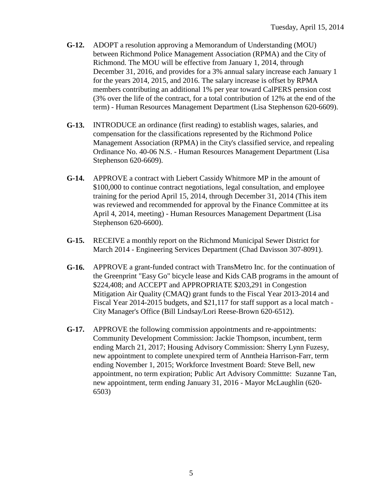- **G-12.** ADOPT a resolution approving a Memorandum of Understanding (MOU) between Richmond Police Management Association (RPMA) and the City of Richmond. The MOU will be effective from January 1, 2014, through December 31, 2016, and provides for a 3% annual salary increase each January 1 for the years 2014, 2015, and 2016. The salary increase is offset by RPMA members contributing an additional 1% per year toward CalPERS pension cost (3% over the life of the contract, for a total contribution of 12% at the end of the term) - Human Resources Management Department (Lisa Stephenson 620-6609).
- **G-13.** INTRODUCE an ordinance (first reading) to establish wages, salaries, and compensation for the classifications represented by the Richmond Police Management Association (RPMA) in the City's classified service, and repealing Ordinance No. 40-06 N.S. - Human Resources Management Department (Lisa Stephenson 620-6609).
- **G-14.** APPROVE a contract with Liebert Cassidy Whitmore MP in the amount of \$100,000 to continue contract negotiations, legal consultation, and employee training for the period April 15, 2014, through December 31, 2014 (This item was reviewed and recommended for approval by the Finance Committee at its April 4, 2014, meeting) - Human Resources Management Department (Lisa Stephenson 620-6600).
- **G-15.** RECEIVE a monthly report on the Richmond Municipal Sewer District for March 2014 - Engineering Services Department (Chad Davisson 307-8091).
- **G-16.** APPROVE a grant-funded contract with TransMetro Inc. for the continuation of the Greenprint "Easy Go" bicycle lease and Kids CAB programs in the amount of \$224,408; and ACCEPT and APPROPRIATE \$203,291 in Congestion Mitigation Air Quality (CMAQ) grant funds to the Fiscal Year 2013-2014 and Fiscal Year 2014-2015 budgets, and \$21,117 for staff support as a local match - City Manager's Office (Bill Lindsay/Lori Reese-Brown 620-6512).
- **G-17.** APPROVE the following commission appointments and re-appointments: Community Development Commission: Jackie Thompson, incumbent, term ending March 21, 2017; Housing Advisory Commission: Sherry Lynn Fuzesy, new appointment to complete unexpired term of Anntheia Harrison-Farr, term ending November 1, 2015; Workforce Investment Board: Steve Bell, new appointment, no term expiration; Public Art Advisory Committte: Suzanne Tan, new appointment, term ending January 31, 2016 - Mayor McLaughlin (620- 6503)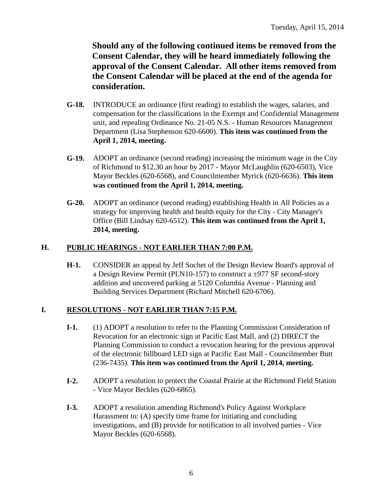**Should any of the following continued items be removed from the Consent Calendar, they will be heard immediately following the approval of the Consent Calendar. All other items removed from the Consent Calendar will be placed at the end of the agenda for consideration.**

- **G-18.** INTRODUCE an ordinance (first reading) to establish the wages, salaries, and compensation for the classifications in the Exempt and Confidential Management unit, and repealing Ordinance No. 21-05 N.S. - Human Resources Management Department (Lisa Stephenson 620-6600). **This item was continued from the April 1, 2014, meeting.**
- **G-19.** ADOPT an ordinance (second reading) increasing the minimum wage in the City of Richmond to \$12.30 an hour by 2017 - Mayor McLaughlin (620-6503), Vice Mayor Beckles (620-6568), and Councilmember Myrick (620-6636). **This item was continued from the April 1, 2014, meeting.**
- **G-20.** ADOPT an ordinance (second reading) establishing Health in All Policies as a strategy for improving health and health equity for the City - City Manager's Office (Bill Lindsay 620-6512). **This item was continued from the April 1, 2014, meeting.**

## **H. PUBLIC HEARINGS - NOT EARLIER THAN 7:00 P.M.**

**H-1.** CONSIDER an appeal by Jeff Sochet of the Design Review Board's approval of a Design Review Permit (PLN10-157) to construct a  $\pm$ 977 SF second-story addition and uncovered parking at 5120 Columbia Avenue - Planning and Building Services Department (Richard Mitchell 620-6706).

#### **I. RESOLUTIONS - NOT EARLIER THAN 7:15 P.M.**

- **I-1.** (1) ADOPT a resolution to refer to the Planning Commission Consideration of Revocation for an electronic sign at Pacific East Mall, and (2) DIRECT the Planning Commission to conduct a revocation hearing for the previous approval of the electronic billboard LED sign at Pacific East Mall - Councilmember Butt (236-7435). **This item was continued from the April 1, 2014, meeting.**
- **I-2.** ADOPT a resolution to protect the Coastal Prairie at the Richmond Field Station - Vice Mayor Beckles (620-6865).
- **I-3.** ADOPT a resolution amending Richmond's Policy Against Workplace Harassment to: (A) specify time frame for initiating and concluding investigations, and (B) provide for notification to all involved parties - Vice Mayor Beckles (620-6568).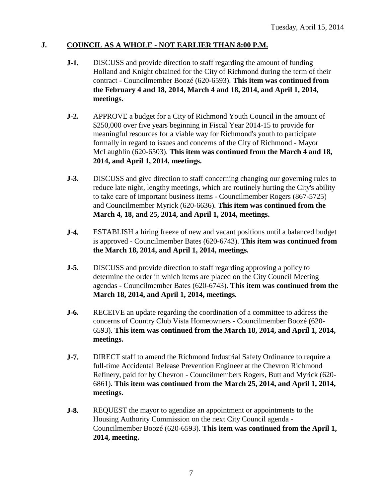## **J. COUNCIL AS A WHOLE - NOT EARLIER THAN 8:00 P.M.**

- **J-1.** DISCUSS and provide direction to staff regarding the amount of funding Holland and Knight obtained for the City of Richmond during the term of their contract - Councilmember Boozé (620-6593). **This item was continued from the February 4 and 18, 2014, March 4 and 18, 2014, and April 1, 2014, meetings.**
- **J-2.** APPROVE a budget for a City of Richmond Youth Council in the amount of \$250,000 over five years beginning in Fiscal Year 2014-15 to provide for meaningful resources for a viable way for Richmond's youth to participate formally in regard to issues and concerns of the City of Richmond - Mayor McLaughlin (620-6503). **This item was continued from the March 4 and 18, 2014, and April 1, 2014, meetings.**
- **J-3.** DISCUSS and give direction to staff concerning changing our governing rules to reduce late night, lengthy meetings, which are routinely hurting the City's ability to take care of important business items - Councilmember Rogers (867-5725) and Councilmember Myrick (620-6636). **This item was continued from the March 4, 18, and 25, 2014, and April 1, 2014, meetings.**
- **J-4.** ESTABLISH a hiring freeze of new and vacant positions until a balanced budget is approved - Councilmember Bates (620-6743). **This item was continued from the March 18, 2014, and April 1, 2014, meetings.**
- **J-5.** DISCUSS and provide direction to staff regarding approving a policy to determine the order in which items are placed on the City Council Meeting agendas - Councilmember Bates (620-6743). **This item was continued from the March 18, 2014, and April 1, 2014, meetings.**
- **J-6.** RECEIVE an update regarding the coordination of a committee to address the concerns of Country Club Vista Homeowners - Councilmember Boozé (620- 6593). **This item was continued from the March 18, 2014, and April 1, 2014, meetings.**
- **J-7.** DIRECT staff to amend the Richmond Industrial Safety Ordinance to require a full-time Accidental Release Prevention Engineer at the Chevron Richmond Refinery, paid for by Chevron - Councilmembers Rogers, Butt and Myrick (620- 6861). **This item was continued from the March 25, 2014, and April 1, 2014, meetings.**
- **J-8.** REQUEST the mayor to agendize an appointment or appointments to the Housing Authority Commission on the next City Council agenda - Councilmember Boozé (620-6593). **This item was continued from the April 1, 2014, meeting.**